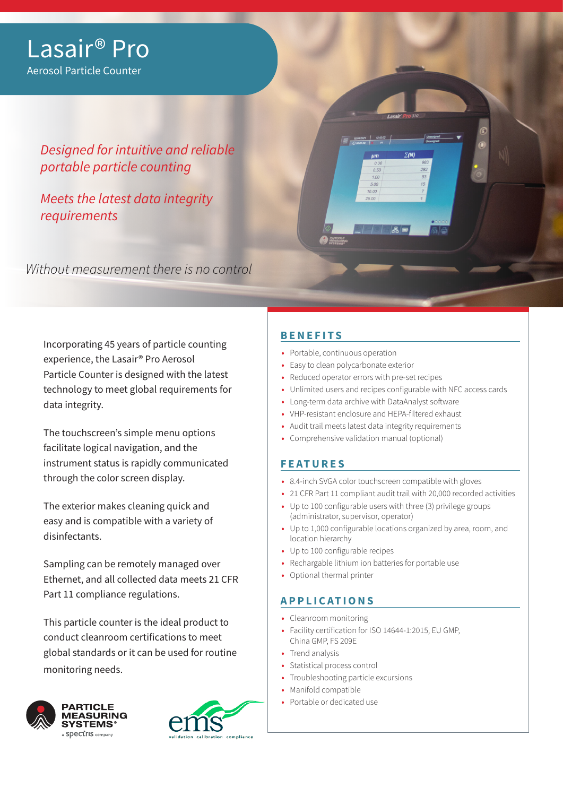## Lasair® Pro Aerosol Particle Counter

*Designed for intuitive and reliable portable particle counting* 

*Meets the latest data integrity requirements*

Without measurement there is no control

Incorporating 45 years of particle counting experience, the Lasair® Pro Aerosol Particle Counter is designed with the latest technology to meet global requirements for data integrity.

The touchscreen's simple menu options facilitate logical navigation, and the instrument status is rapidly communicated through the color screen display.

The exterior makes cleaning quick and easy and is compatible with a variety of disinfectants.

Sampling can be remotely managed over Ethernet, and all collected data meets 21 CFR Part 11 compliance regulations.

This particle counter is the ideal product to conduct cleanroom certifications to meet global standards or it can be used for routine monitoring needs.





### **BENEFITS**

- **•** Portable, continuous operation
- **•** Easy to clean polycarbonate exterior
- **•** Reduced operator errors with pre-set recipes
- **•** Unlimited users and recipes configurable with NFC access cards
- **•** Long-term data archive with DataAnalyst software
- **•** VHP-resistant enclosure and HEPA-filtered exhaust
- **•** Audit trail meets latest data integrity requirements
- **•** Comprehensive validation manual (optional)

#### **FEATURES**

- **•** 8.4-inch SVGA color touchscreen compatible with gloves
- **•** 21 CFR Part 11 compliant audit trail with 20,000 recorded activities
- **•** Up to 100 configurable users with three (3) privilege groups (administrator, supervisor, operator)
- **•** Up to 1,000 configurable locations organized by area, room, and location hierarchy
- **•** Up to 100 configurable recipes
- **•** Rechargable lithium ion batteries for portable use
- **•** Optional thermal printer

#### **APPLICATIONS**

- **•** Cleanroom monitoring
- **•** Facility certification for ISO 14644-1:2015, EU GMP, China GMP, FS 209E
- **•** Trend analysis
- **•** Statistical process control
- **•** Troubleshooting particle excursions
- **•** Manifold compatible
- **•** Portable or dedicated use